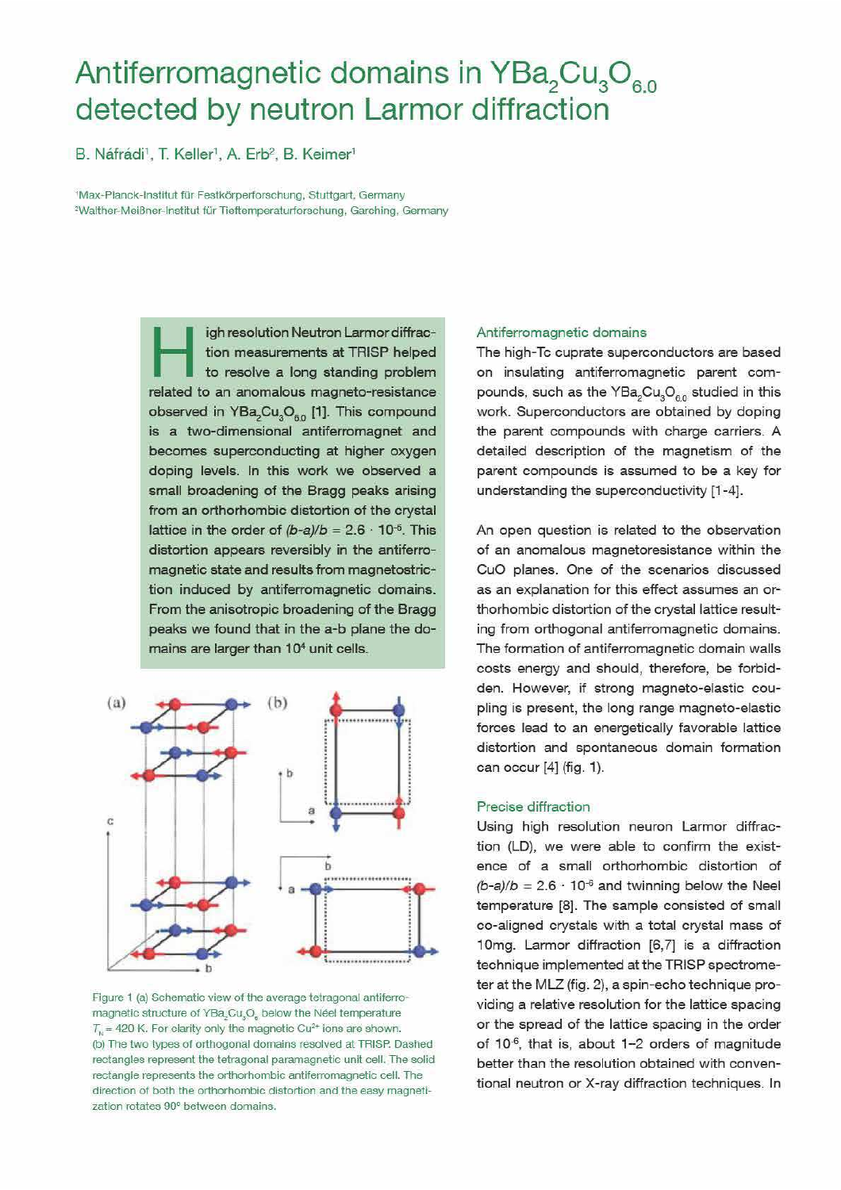# Antiferromagnetic domains in YBa<sub>2</sub>Cu<sub>3</sub>O<sub>6.0</sub> detected by neutron Larmor diffraction

B. Náfrádi<sup>1</sup>, T. Keller<sup>1</sup>, A. Erb<sup>2</sup>, B. Keimer<sup>1</sup>

<sup>1</sup>Max-Planck-Institut für Festkörperforschung, Stuttgart, Germany <sup>2</sup>Walther-Meißner-Institut für Tieftemperaturforschung, Garching, Germany

> igh resolution Neutron Larmor diffraction measurements at TRISP helped to resolve a long standing problem related to an anomalous magneto-resistance observed in YBa<sub>2</sub>Cu<sub>2</sub>O<sub>60</sub> [1]. This compound is a two-dimensional antiferromagnet and becomes superconducting at higher oxygen doping levels. In this work we observed a small broadening of the Bragg peaks arising from an orthorhombic distortion of the crystal lattice in the order of  $(b-a)/b = 2.6 \cdot 10^{-6}$ . This distortion appears reversibly in the antiferromagnetic state and results from magnetostriction induced by antiferromagnetic domains. From the anisotropic broadening of the Bragg peaks we found that in the a-b plane the domains are larger than 10<sup>4</sup> unit cells.



Figure 1 (a) Schematic view of the average tetragonal antiferromagnetic structure of YBa<sub>2</sub>Cu<sub>3</sub>O<sub>e</sub> below the Néel temperature  $T_{\rm N}$  = 420 K. For clarity only the magnetic Cu<sup>2+</sup> ions are shown. (b) The two types of orthogonal domains resolved at TRISP. Dashed rectangles represent the tetragonal paramagnetic unit cell. The solid rectangle represents the orthorhombic antiferromagnetic cell. The direction of both the orthorhombic distortion and the easy magnetization rotates 90° between domains.

## Antiferromagnetic domains

The high-Tc cuprate superconductors are based on insulating antiferromagnetic parent compounds, such as the YBa<sub>2</sub>Cu<sub>3</sub>O<sub>60</sub> studied in this work. Superconductors are obtained by doping the parent compounds with charge carriers. A detailed description of the magnetism of the parent compounds is assumed to be a key for understanding the superconductivity [1-4].

An open question is related to the observation of an anomalous magnetoresistance within the CuO planes. One of the scenarios discussed as an explanation for this effect assumes an orthorhombic distortion of the crystal lattice resulting from orthogonal antiferromagnetic domains. The formation of antiferromagnetic domain walls costs energy and should, therefore, be forbidden. However, if strong magneto-elastic coupling is present, the long range magneto-elastic forces lead to an energetically favorable lattice distortion and spontaneous domain formation can occur [4] (fig. 1).

#### Precise diffraction

Using high resolution neuron Larmor diffraction (LD), we were able to confirm the existence of a small orthorhombic distortion of  $(b-a)/b = 2.6 \cdot 10^{-6}$  and twinning below the Neel temperature [8]. The sample consisted of small co-aligned crystals with a total crystal mass of 10mg. Larmor diffraction [6,7] is a diffraction technique implemented at the TRISP spectrometer at the MLZ (fig. 2), a spin-echo technique providing a relative resolution for the lattice spacing or the spread of the lattice spacing in the order of 10<sup>-6</sup>, that is, about 1-2 orders of magnitude better than the resolution obtained with conventional neutron or X-ray diffraction techniques. In